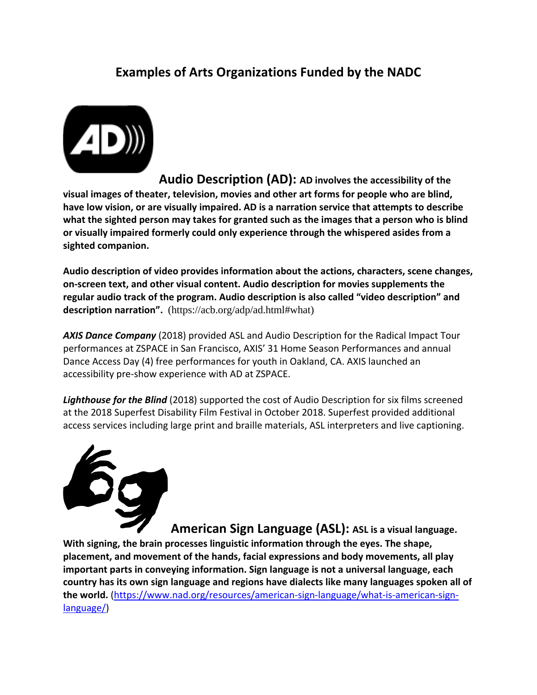## **Examples of Arts Organizations Funded by the NADC**



 **Audio Description (AD): AD involves the accessibility of the visual images of theater, television, movies and other art forms for people who are blind, have low vision, or are visually impaired. AD is a narration service that attempts to describe what the sighted person may takes for granted such as the images that a person who is blind or visually impaired formerly could only experience through the whispered asides from a sighted companion.**

**Audio description of video provides information about the actions, characters, scene changes, on-screen text, and other visual content. Audio description for movies supplements the regular audio track of the program. Audio description is also called "video description" and description narration".** (https://acb.org/adp/ad.html#what)

*AXIS Dance Company* (2018) provided ASL and Audio Description for the Radical Impact Tour performances at ZSPACE in San Francisco, AXIS' 31 Home Season Performances and annual Dance Access Day (4) free performances for youth in Oakland, CA. AXIS launched an accessibility pre-show experience with AD at ZSPACE.

*Lighthouse for the Blind* (2018) supported the cost of Audio Description for six films screened at the 2018 Superfest Disability Film Festival in October 2018. Superfest provided additional access services including large print and braille materials, ASL interpreters and live captioning.



**American Sign Language (ASL): ASL is a visual language. With signing, the brain processes linguistic information through the eyes. The shape, placement, and movement of the hands, facial expressions and body movements, all play important parts in conveying information. Sign language is not a universal language, each country has its own sign language and regions have dialects like many languages spoken all of the world.** [\(https://www.nad.org/resources/american-sign-language/what-is-american-sign](https://www.nad.org/resources/american-sign-language/what-is-american-sign-language/)[language/\)](https://www.nad.org/resources/american-sign-language/what-is-american-sign-language/)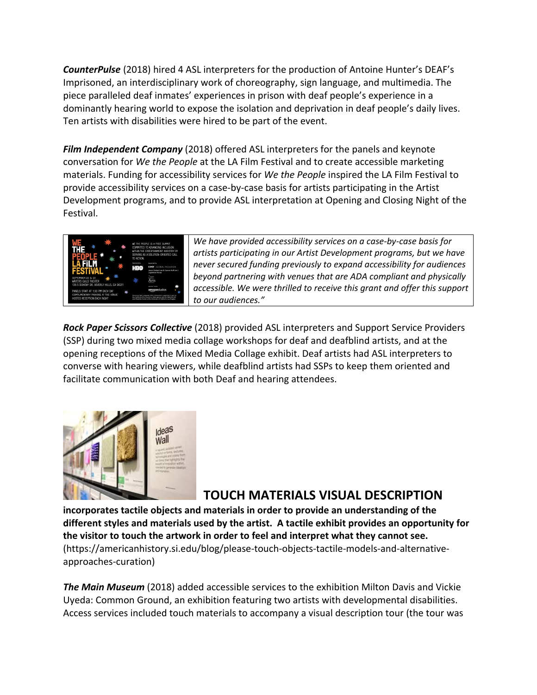*CounterPulse* (2018) hired 4 ASL interpreters for the production of Antoine Hunter's DEAF's Imprisoned, an interdisciplinary work of choreography, sign language, and multimedia. The piece paralleled deaf inmates' experiences in prison with deaf people's experience in a dominantly hearing world to expose the isolation and deprivation in deaf people's daily lives. Ten artists with disabilities were hired to be part of the event.

*Film Independent Company* (2018) offered ASL interpreters for the panels and keynote conversation for *We the People* at the LA Film Festival and to create accessible marketing materials. Funding for accessibility services for *We the People* inspired the LA Film Festival to provide accessibility services on a case-by-case basis for artists participating in the Artist Development programs, and to provide ASL interpretation at Opening and Closing Night of the Festival.



*We have provided accessibility services on a case-by-case basis for artists participating in our Artist Development programs, but we have never secured funding previously to expand accessibility for audiences beyond partnering with venues that are ADA compliant and physically accessible. We were thrilled to receive this grant and offer this support to our audiences."*

*Rock Paper Scissors Collective* (2018) provided ASL interpreters and Support Service Providers (SSP) during two mixed media collage workshops for deaf and deafblind artists, and at the opening receptions of the Mixed Media Collage exhibit. Deaf artists had ASL interpreters to converse with hearing viewers, while deafblind artists had SSPs to keep them oriented and facilitate communication with both Deaf and hearing attendees.



## **TOUCH MATERIALS VISUAL DESCRIPTION**

**incorporates tactile objects and materials in order to provide an understanding of the different styles and materials used by the artist. A tactile exhibit provides an opportunity for the visitor to touch the artwork in order to feel and interpret what they cannot see.**  (https://americanhistory.si.edu/blog/please-touch-objects-tactile-models-and-alternativeapproaches-curation)

*The Main Museum* (2018) added accessible services to the exhibition Milton Davis and Vickie Uyeda: Common Ground, an exhibition featuring two artists with developmental disabilities. Access services included touch materials to accompany a visual description tour (the tour was